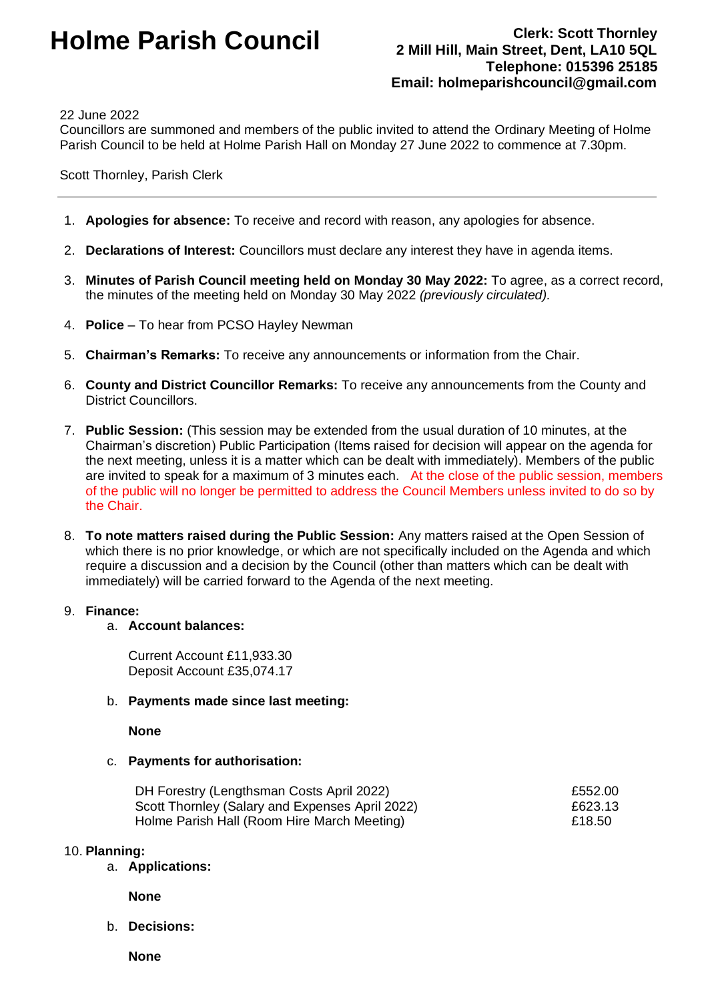# **Holme Parish Council Clerk: Scott Thornley**

## **2 Mill Hill, Main Street, Dent, LA10 5QL Telephone: 015396 25185 Email: holmeparishcouncil@gmail.com**

#### 22 June 2022

Councillors are summoned and members of the public invited to attend the Ordinary Meeting of Holme Parish Council to be held at Holme Parish Hall on Monday 27 June 2022 to commence at 7.30pm.

Scott Thornley, Parish Clerk

- 1. **Apologies for absence:** To receive and record with reason, any apologies for absence.
- 2. **Declarations of Interest:** Councillors must declare any interest they have in agenda items.
- 3. **Minutes of Parish Council meeting held on Monday 30 May 2022:** To agree, as a correct record, the minutes of the meeting held on Monday 30 May 2022 *(previously circulated).*
- 4. **Police** To hear from PCSO Hayley Newman
- 5. **Chairman's Remarks:** To receive any announcements or information from the Chair.
- 6. **County and District Councillor Remarks:** To receive any announcements from the County and District Councillors.
- 7. **Public Session:** (This session may be extended from the usual duration of 10 minutes, at the Chairman's discretion) Public Participation (Items raised for decision will appear on the agenda for the next meeting, unless it is a matter which can be dealt with immediately). Members of the public are invited to speak for a maximum of 3 minutes each. At the close of the public session, members of the public will no longer be permitted to address the Council Members unless invited to do so by the Chair.
- 8. **To note matters raised during the Public Session:** Any matters raised at the Open Session of which there is no prior knowledge, or which are not specifically included on the Agenda and which require a discussion and a decision by the Council (other than matters which can be dealt with immediately) will be carried forward to the Agenda of the next meeting.

#### 9. **Finance:**

#### a. **Account balances:**

Current Account £11,933.30 Deposit Account £35,074.17

#### b. **Payments made since last meeting:**

**None**

#### c. **Payments for authorisation:**

| DH Forestry (Lengthsman Costs April 2022)       | £552.00 |
|-------------------------------------------------|---------|
| Scott Thornley (Salary and Expenses April 2022) | £623.13 |
| Holme Parish Hall (Room Hire March Meeting)     | £18.50  |

#### 10. **Planning:**

a. **Applications:**

**None**

b. **Decisions:**

**None**